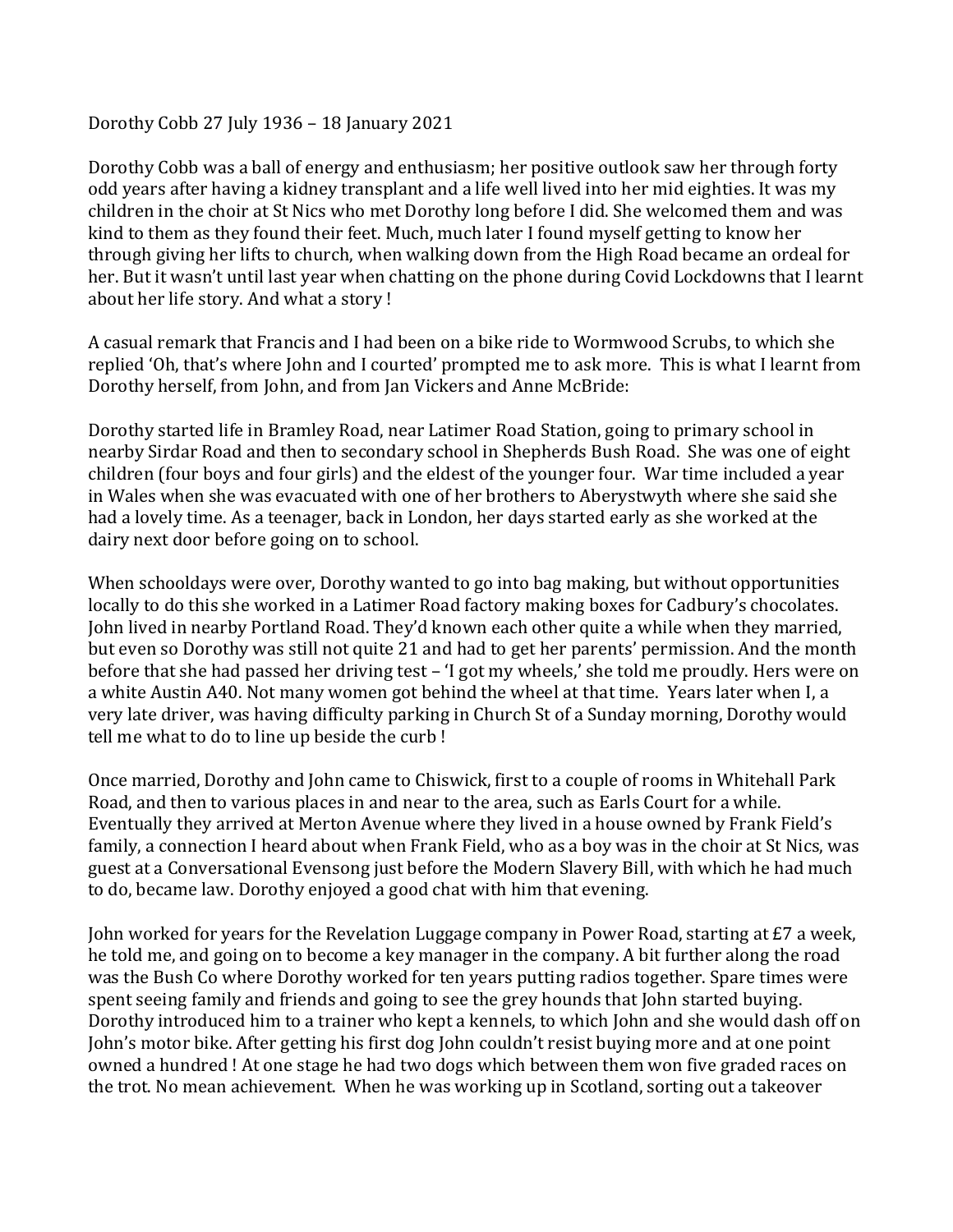## Dorothy Cobb 27 July 1936 – 18 January 2021

Dorothy Cobb was a ball of energy and enthusiasm; her positive outlook saw her through forty odd years after having a kidney transplant and a life well lived into her mid eighties. It was my children in the choir at St Nics who met Dorothy long before I did. She welcomed them and was kind to them as they found their feet. Much, much later I found myself getting to know her through giving her lifts to church, when walking down from the High Road became an ordeal for her. But it wasn't until last year when chatting on the phone during Covid Lockdowns that I learnt about her life story. And what a story !

A casual remark that Francis and I had been on a bike ride to Wormwood Scrubs, to which she replied 'Oh, that's where John and I courted' prompted me to ask more. This is what I learnt from Dorothy herself, from John, and from Jan Vickers and Anne McBride:

Dorothy started life in Bramley Road, near Latimer Road Station, going to primary school in nearby Sirdar Road and then to secondary school in Shepherds Bush Road. She was one of eight children (four boys and four girls) and the eldest of the younger four. War time included a year in Wales when she was evacuated with one of her brothers to Aberystwyth where she said she had a lovely time. As a teenager, back in London, her days started early as she worked at the dairy next door before going on to school.

When schooldays were over, Dorothy wanted to go into bag making, but without opportunities locally to do this she worked in a Latimer Road factory making boxes for Cadbury's chocolates. John lived in nearby Portland Road. They'd known each other quite a while when they married, but even so Dorothy was still not quite 21 and had to get her parents' permission. And the month before that she had passed her driving test – 'I got my wheels,' she told me proudly. Hers were on a white Austin A40. Not many women got behind the wheel at that time. Years later when I, a very late driver, was having difficulty parking in Church St of a Sunday morning, Dorothy would tell me what to do to line up beside the curb !

Once married, Dorothy and John came to Chiswick, first to a couple of rooms in Whitehall Park Road, and then to various places in and near to the area, such as Earls Court for a while. Eventually they arrived at Merton Avenue where they lived in a house owned by Frank Field's family, a connection I heard about when Frank Field, who as a boy was in the choir at St Nics, was guest at a Conversational Evensong just before the Modern Slavery Bill, with which he had much to do, became law. Dorothy enjoyed a good chat with him that evening.

John worked for years for the Revelation Luggage company in Power Road, starting at £7 a week, he told me, and going on to become a key manager in the company. A bit further along the road was the Bush Co where Dorothy worked for ten years putting radios together. Spare times were spent seeing family and friends and going to see the grey hounds that John started buying. Dorothy introduced him to a trainer who kept a kennels, to which John and she would dash off on John's motor bike. After getting his first dog John couldn't resist buying more and at one point owned a hundred ! At one stage he had two dogs which between them won five graded races on the trot. No mean achievement. When he was working up in Scotland, sorting out a takeover